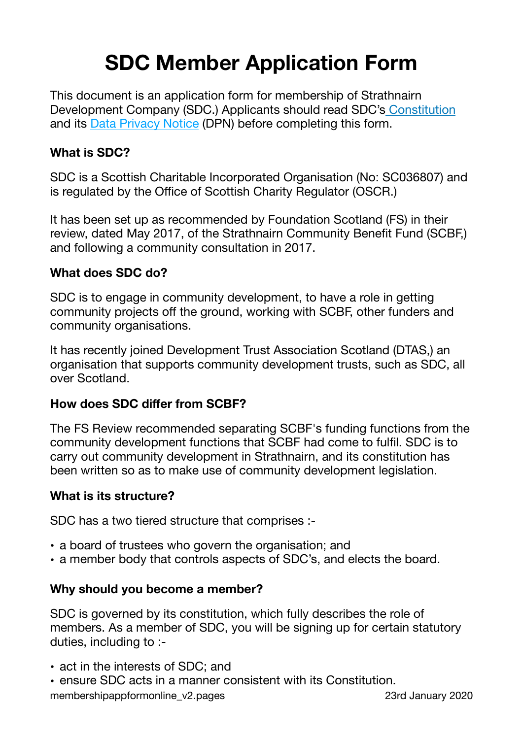# **SDC Member Application Form**

This document is an application form for membership of Strathnairn Development Company (SDC.) Applicants should read SDC's [Constitution](https://www.dropbox.com/s/utgfe20v6tnkeis/constitution_v1.pdf?dl=0) and its [Data Privacy Notice](https://www.dropbox.com/s/ysk9rso3bwuixzp/dataprivacynotice_v1.pdf?dl=0) (DPN) before completing this form.

### **What is SDC?**

SDC is a Scottish Charitable Incorporated Organisation (No: SC036807) and is regulated by the Office of Scottish Charity Regulator (OSCR.)

It has been set up as recommended by Foundation Scotland (FS) in their review, dated May 2017, of the Strathnairn Community Benefit Fund (SCBF,) and following a community consultation in 2017.

#### **What does SDC do?**

SDC is to engage in community development, to have a role in getting community projects off the ground, working with SCBF, other funders and community organisations.

It has recently joined Development Trust Association Scotland (DTAS,) an organisation that supports community development trusts, such as SDC, all over Scotland.

#### **How does SDC differ from SCBF?**

The FS Review recommended separating SCBF's funding functions from the community development functions that SCBF had come to fulfil. SDC is to carry out community development in Strathnairn, and its constitution has been written so as to make use of community development legislation.

#### **What is its structure?**

SDC has a two tiered structure that comprises :-

- a board of trustees who govern the organisation; and
- a member body that controls aspects of SDC's, and elects the board.

#### **Why should you become a member?**

SDC is governed by its constitution, which fully describes the role of members. As a member of SDC, you will be signing up for certain statutory duties, including to :-

- act in the interests of SDC; and
- ensure SDC acts in a manner consistent with its Constitution. membershipappformonline\_v2.pages 23rd January 2020